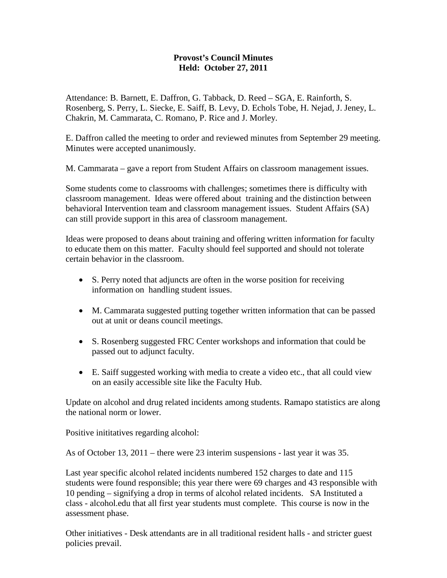## **Provost's Council Minutes Held: October 27, 2011**

Attendance: B. Barnett, E. Daffron, G. Tabback, D. Reed – SGA, E. Rainforth, S. Rosenberg, S. Perry, L. Siecke, E. Saiff, B. Levy, D. Echols Tobe, H. Nejad, J. Jeney, L. Chakrin, M. Cammarata, C. Romano, P. Rice and J. Morley.

E. Daffron called the meeting to order and reviewed minutes from September 29 meeting. Minutes were accepted unanimously.

M. Cammarata – gave a report from Student Affairs on classroom management issues.

Some students come to classrooms with challenges; sometimes there is difficulty with classroom management. Ideas were offered about training and the distinction between behavioral Intervention team and classroom management issues. Student Affairs (SA) can still provide support in this area of classroom management.

Ideas were proposed to deans about training and offering written information for faculty to educate them on this matter. Faculty should feel supported and should not tolerate certain behavior in the classroom.

- S. Perry noted that adjuncts are often in the worse position for receiving information on handling student issues.
- M. Cammarata suggested putting together written information that can be passed out at unit or deans council meetings.
- S. Rosenberg suggested FRC Center workshops and information that could be passed out to adjunct faculty.
- E. Saiff suggested working with media to create a video etc., that all could view on an easily accessible site like the Faculty Hub.

Update on alcohol and drug related incidents among students. Ramapo statistics are along the national norm or lower.

Positive inititatives regarding alcohol:

As of October 13, 2011 – there were 23 interim suspensions - last year it was 35.

Last year specific alcohol related incidents numbered 152 charges to date and 115 students were found responsible; this year there were 69 charges and 43 responsible with 10 pending – signifying a drop in terms of alcohol related incidents. SA Instituted a class - alcohol.edu that all first year students must complete. This course is now in the assessment phase.

Other initiatives - Desk attendants are in all traditional resident halls - and stricter guest policies prevail.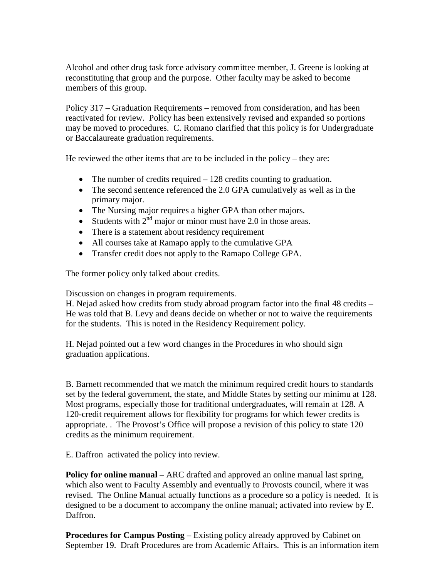Alcohol and other drug task force advisory committee member, J. Greene is looking at reconstituting that group and the purpose. Other faculty may be asked to become members of this group.

Policy 317 – Graduation Requirements – removed from consideration, and has been reactivated for review. Policy has been extensively revised and expanded so portions may be moved to procedures. C. Romano clarified that this policy is for Undergraduate or Baccalaureate graduation requirements.

He reviewed the other items that are to be included in the policy – they are:

- The number of credits required  $-128$  credits counting to graduation.
- The second sentence referenced the 2.0 GPA cumulatively as well as in the primary major.
- The Nursing major requires a higher GPA than other majors.
- Students with  $2<sup>nd</sup>$  major or minor must have 2.0 in those areas.
- There is a statement about residency requirement
- All courses take at Ramapo apply to the cumulative GPA
- Transfer credit does not apply to the Ramapo College GPA.

The former policy only talked about credits.

Discussion on changes in program requirements.

H. Nejad asked how credits from study abroad program factor into the final 48 credits – He was told that B. Levy and deans decide on whether or not to waive the requirements for the students. This is noted in the Residency Requirement policy.

H. Nejad pointed out a few word changes in the Procedures in who should sign graduation applications.

B. Barnett recommended that we match the minimum required credit hours to standards set by the federal government, the state, and Middle States by setting our minimu at 128. Most programs, especially those for traditional undergraduates, will remain at 128. A 120-credit requirement allows for flexibility for programs for which fewer credits is appropriate. . The Provost's Office will propose a revision of this policy to state 120 credits as the minimum requirement.

E. Daffron activated the policy into review.

**Policy for online manual** – ARC drafted and approved an online manual last spring, which also went to Faculty Assembly and eventually to Provosts council, where it was revised. The Online Manual actually functions as a procedure so a policy is needed. It is designed to be a document to accompany the online manual; activated into review by E. Daffron.

**Procedures for Campus Posting** – Existing policy already approved by Cabinet on September 19. Draft Procedures are from Academic Affairs. This is an information item